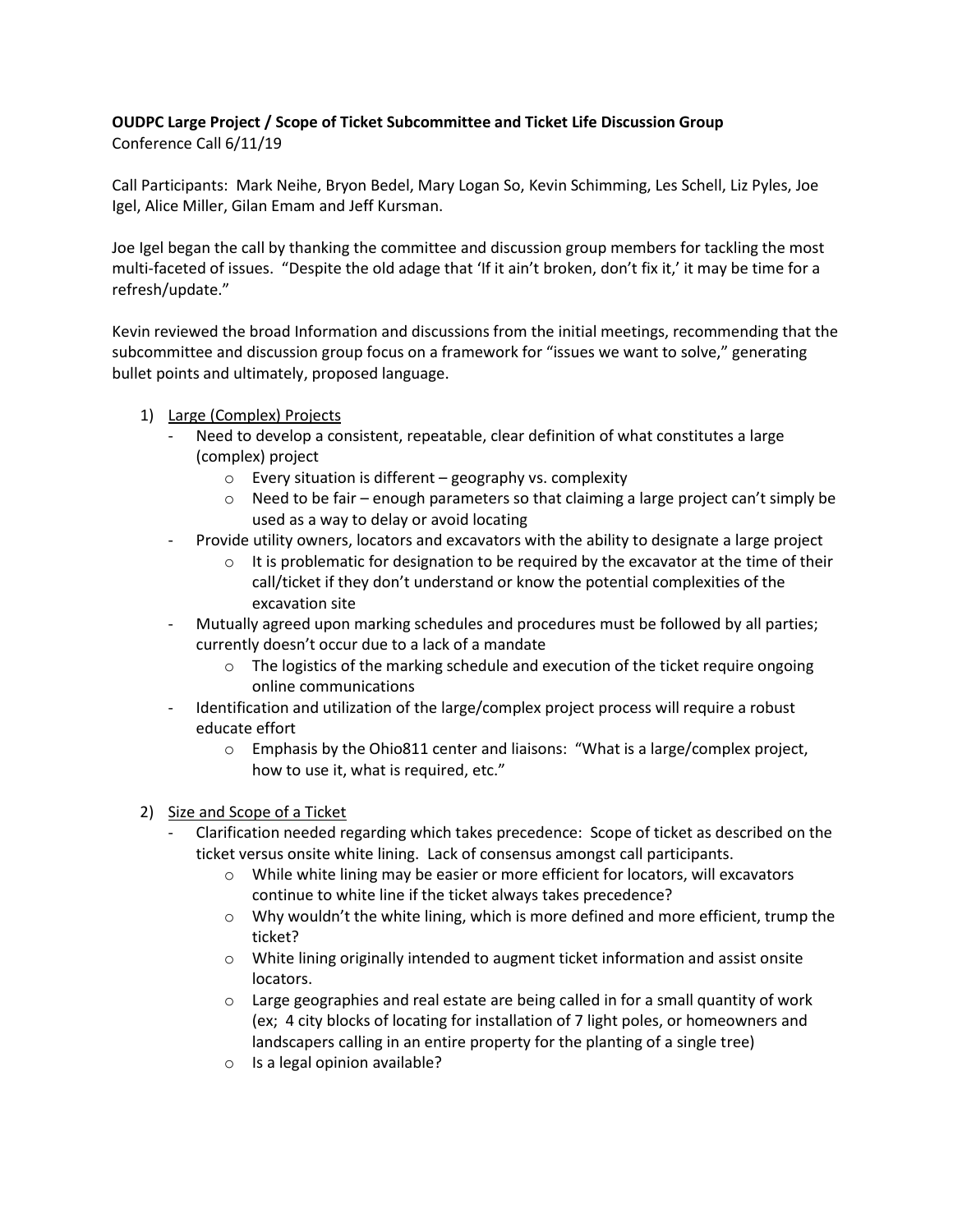## **OUDPC Large Project / Scope of Ticket Subcommittee and Ticket Life Discussion Group**  Conference Call 6/11/19

Call Participants: Mark Neihe, Bryon Bedel, Mary Logan So, Kevin Schimming, Les Schell, Liz Pyles, Joe Igel, Alice Miller, Gilan Emam and Jeff Kursman.

Joe Igel began the call by thanking the committee and discussion group members for tackling the most multi-faceted of issues. "Despite the old adage that 'If it ain't broken, don't fix it,' it may be time for a refresh/update."

Kevin reviewed the broad Information and discussions from the initial meetings, recommending that the subcommittee and discussion group focus on a framework for "issues we want to solve," generating bullet points and ultimately, proposed language.

- 1) Large (Complex) Projects
	- Need to develop a consistent, repeatable, clear definition of what constitutes a large (complex) project
		- o Every situation is different geography vs. complexity
		- $\circ$  Need to be fair enough parameters so that claiming a large project can't simply be used as a way to delay or avoid locating
	- Provide utility owners, locators and excavators with the ability to designate a large project
		- $\circ$  It is problematic for designation to be required by the excavator at the time of their call/ticket if they don't understand or know the potential complexities of the excavation site
	- Mutually agreed upon marking schedules and procedures must be followed by all parties; currently doesn't occur due to a lack of a mandate
		- $\circ$  The logistics of the marking schedule and execution of the ticket require ongoing online communications
	- Identification and utilization of the large/complex project process will require a robust educate effort
		- $\circ$  Emphasis by the Ohio811 center and liaisons: "What is a large/complex project, how to use it, what is required, etc."

## 2) Size and Scope of a Ticket

- Clarification needed regarding which takes precedence: Scope of ticket as described on the ticket versus onsite white lining. Lack of consensus amongst call participants.
	- $\circ$  While white lining may be easier or more efficient for locators, will excavators continue to white line if the ticket always takes precedence?
	- $\circ$  Why wouldn't the white lining, which is more defined and more efficient, trump the ticket?
	- o White lining originally intended to augment ticket information and assist onsite locators.
	- $\circ$  Large geographies and real estate are being called in for a small quantity of work (ex; 4 city blocks of locating for installation of 7 light poles, or homeowners and landscapers calling in an entire property for the planting of a single tree)
	- o Is a legal opinion available?